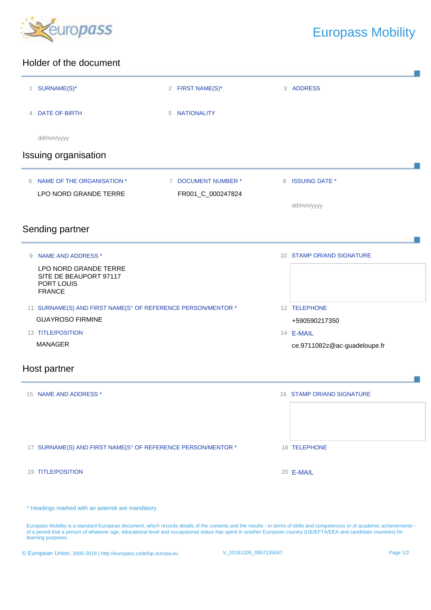

## Europass Mobility

## Holder of the document

| 1 SURNAME(S)*                                                                                                                                                                                                                    | 2 FIRST NAME(S)*    | 3 ADDRESS                    |
|----------------------------------------------------------------------------------------------------------------------------------------------------------------------------------------------------------------------------------|---------------------|------------------------------|
| 4 DATE OF BIRTH                                                                                                                                                                                                                  | 5 NATIONALITY       |                              |
| dd/mm/yyyy                                                                                                                                                                                                                       |                     |                              |
| <b>Issuing organisation</b>                                                                                                                                                                                                      |                     |                              |
| NAME OF THE ORGANISATION *<br>6                                                                                                                                                                                                  | 7 DOCUMENT NUMBER * | 8 ISSUING DATE *             |
| LPO NORD GRANDE TERRE                                                                                                                                                                                                            | FR001_C_000247824   | dd/mm/yyyy                   |
| Sending partner                                                                                                                                                                                                                  |                     |                              |
| <b>NAME AND ADDRESS *</b><br>9                                                                                                                                                                                                   |                     | 10 STAMP OR/AND SIGNATURE    |
| LPO NORD GRANDE TERRE<br>SITE DE BEAUPORT 97117<br>PORT LOUIS<br><b>FRANCE</b>                                                                                                                                                   |                     |                              |
| 11 SURNAME(S) AND FIRST NAME(S° OF REFERENCE PERSON/MENTOR *                                                                                                                                                                     |                     | 12 TELEPHONE                 |
| <b>GUAYROSO FIRMINE</b>                                                                                                                                                                                                          |                     | +590590217350                |
| 13 TITLE/POSITION                                                                                                                                                                                                                |                     | 14 <b>E-MAIL</b>             |
| <b>MANAGER</b><br>Host partner                                                                                                                                                                                                   |                     | ce.9711082z@ac-guadeloupe.fr |
|                                                                                                                                                                                                                                  |                     |                              |
| 15 NAME AND ADDRESS *                                                                                                                                                                                                            |                     | 16 STAMP OR/AND SIGNATURE    |
|                                                                                                                                                                                                                                  |                     |                              |
| 17 SURNAME(S) AND FIRST NAME(S° OF REFERENCE PERSON/MENTOR *                                                                                                                                                                     |                     | 18 TELEPHONE                 |
| 19 TITLE/POSITION                                                                                                                                                                                                                |                     | 20 E-MAIL                    |
|                                                                                                                                                                                                                                  |                     |                              |
| * Headings marked with an asterisk are mandatory.<br>Europass Mobility is a standard European document, which records details of the contents and the results - in terms of skills and competences or of academic achievements - |                     |                              |

of a period that a person of whatever age, educational level and occupational status has spent in another European country (UE/EFTA/EEA and candidate countries) for learning purposes.

| © European Union, 2005-2016   http://europass.cedefop.europa.eu | V 20161205 0957235047 | Page 1/2 |
|-----------------------------------------------------------------|-----------------------|----------|
|-----------------------------------------------------------------|-----------------------|----------|